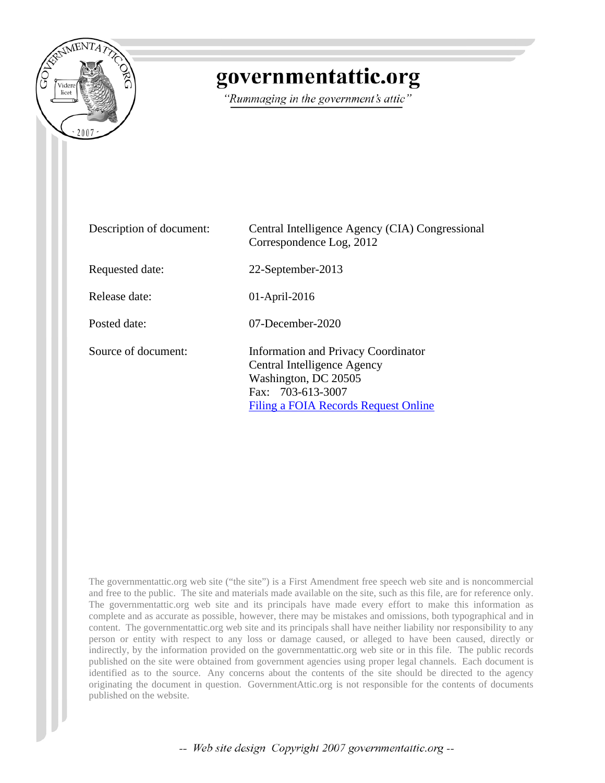

## governmentattic.org

"Rummaging in the government's attic"

| Description of document: | Central Intelligence Agency (CIA) Congressional<br>Correspondence Log, 2012                                                                                    |
|--------------------------|----------------------------------------------------------------------------------------------------------------------------------------------------------------|
| Requested date:          | 22-September-2013                                                                                                                                              |
| Release date:            | $01$ -April-2016                                                                                                                                               |
| Posted date:             | $07$ -December-2020                                                                                                                                            |
| Source of document:      | <b>Information and Privacy Coordinator</b><br>Central Intelligence Agency<br>Washington, DC 20505<br>Fax: 703-613-3007<br>Filing a FOIA Records Request Online |

The governmentattic.org web site ("the site") is a First Amendment free speech web site and is noncommercial and free to the public. The site and materials made available on the site, such as this file, are for reference only. The governmentattic.org web site and its principals have made every effort to make this information as complete and as accurate as possible, however, there may be mistakes and omissions, both typographical and in content. The governmentattic.org web site and its principals shall have neither liability nor responsibility to any person or entity with respect to any loss or damage caused, or alleged to have been caused, directly or indirectly, by the information provided on the governmentattic.org web site or in this file. The public records published on the site were obtained from government agencies using proper legal channels. Each document is identified as to the source. Any concerns about the contents of the site should be directed to the agency originating the document in question. GovernmentAttic.org is not responsible for the contents of documents published on the website.

-- Web site design Copyright 2007 governmentattic.org --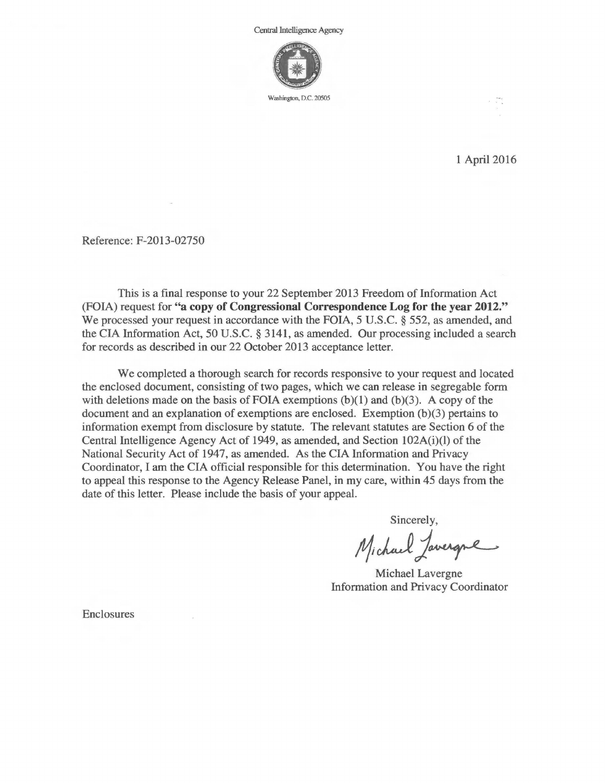

1 April 2016

Reference: F-2013-02750

This is a final response to your 22 September 2013 Freedom of Information Act (FOIA) request for **"a copy of Congressional Correspondence Log for the year 2012."**  We processed your request in accordance with the FOIA, 5 U.S.C. § 552, as amended, and the CIA Information Act, 50 U.S.C. § 3141, as amended. Our processing included a search for records as described in our 22 October 2013 acceptance letter.

We completed a thorough search for records responsive to your request and located the enclosed document, consisting of two pages, which we can release in segregable form with deletions made on the basis of FOIA exemptions  $(b)(1)$  and  $(b)(3)$ . A copy of the document and an explanation of exemptions are enclosed. Exemption (b)(3) pertains to information exempt from disclosure by statute. The relevant statutes are Section 6 of the Central Intelligence Agency Act of 1949, as amended, and Section 102A(i)(l) of the National Security Act of 1947, as amended. As the CIA Information and Privacy Coordinator, I am the CIA official responsible for this determination. You have the right to appeal this response to the Agency Release Panel, in my care, within 45 days from the date of this letter. Please include the basis of your appeal.

Sincerely,

Michael Javergne

Michael Lavergne Information and Privacy Coordinator

Enclosures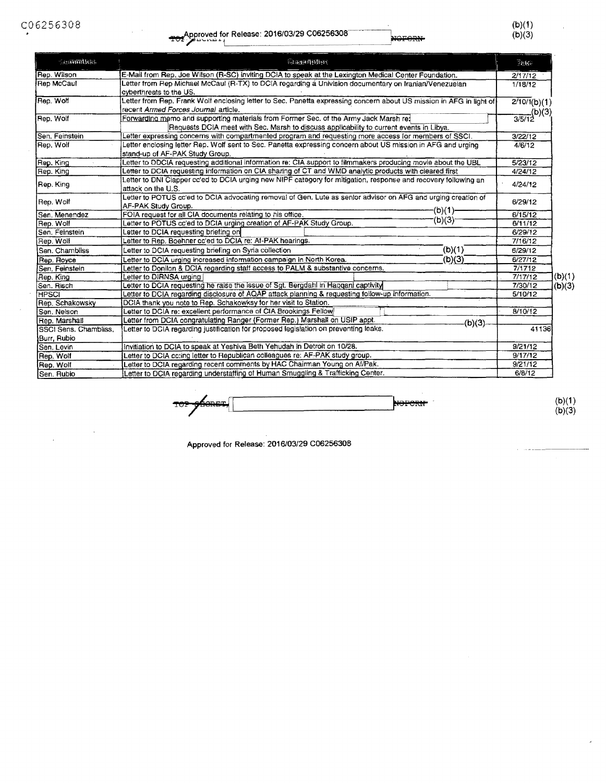$(D)(1)$  $(b)(3)$ 

| <b>Generalitie</b>                                                                            | 应实例的特征                                                                                                                                                                          |                    |                           |
|-----------------------------------------------------------------------------------------------|---------------------------------------------------------------------------------------------------------------------------------------------------------------------------------|--------------------|---------------------------|
| Rep. Wilson                                                                                   | E-Mail from Rep. Joe Wilson (R-SC) inviting DCIA to speak at the Lexington Medical Center Foundation.                                                                           |                    |                           |
| Rep McCaul                                                                                    | Letter from Rep Michael McCaul (R-TX) to DCIA regarding a Univision documentary on tranian/Venezuelan<br>cyberthreats to the US.                                                |                    |                           |
| Rep. Wolf                                                                                     | Letter from Rep. Frank Wolf enclosing letter to Sec. Panetta expressing concern about US mission in AFG in light of<br>recent Armed Forces Journal article.                     |                    |                           |
| Rep. Wolf                                                                                     | Forwarding memo and supporting materials from Former Sec. of the Army Jack Marsh re:<br>Requests DCIA meet with Sec. Marsh to discuss applicability to current events in Libya. |                    | $\frac{1}{3/5/12}$ (b)(3) |
| Sen. Feinstein                                                                                | Letter expressing concerns with compartmented program and requesting more access for members of SSCI.                                                                           | 3/22/12            |                           |
| Rep. Wolf                                                                                     | Letter enclosing letter Rep. Wolf sent to Sec. Panetta expressing concern about US mission in AFG and urging<br>stand-up of AF-PAK Study Group.                                 |                    |                           |
| Rep. King                                                                                     | Letter to DDCIA requesting additional information re: CIA support to filmmakers producing movie about the UBL                                                                   |                    |                           |
| Rep. King                                                                                     | Letter to DCIA requesting information on CIA sharing of CT and WMD analytic products with cleared first                                                                         |                    |                           |
| Rep. King                                                                                     | Letter to DNI Clapper cc'ed to DCIA urging new NIPF category for mitigation, response and recovery following an<br>attack on the U.S.                                           | 4/24/12            |                           |
| Rep. Wolf                                                                                     | Letter to POTUS cc'ed to DCIA advocating removal of Gen, Lute as senior advisor on AFG and urging creation of<br>AF-PAK Study Group.                                            | 6/29/12            |                           |
| Sen. Menendez                                                                                 | -(b)(1)-<br>FOIA request for all CIA documents relating to his office.                                                                                                          | 6/15/12            |                           |
| Rep. Wolf                                                                                     | (b)(3)<br>Letter to POTUS cc'ed to DCIA urging creation of AF-PAK Study Group.                                                                                                  | 6/11/12            |                           |
| Sen. Feinstein                                                                                | Letter to DCIA requesting briefing on                                                                                                                                           | 6/29/12            |                           |
| Rep. Wolf                                                                                     | Letter to Rep. Boehner co'ed to DCIA re: Af-PAK hearings.                                                                                                                       | 7/16/12            |                           |
| Sen, Chambliss                                                                                | (b)(1)<br>Letter to DCIA requesting briefing on Syria collection                                                                                                                | 6/29/12            |                           |
| Rep. Royce                                                                                    | (b)(3)<br>Letter to DCIA urging increased information campaign in North Korea.                                                                                                  | 6/27/12            |                           |
| Sen, Feinstein                                                                                | Letter to Donilon & DCIA regarding staff access to PALM & substantive concerns.                                                                                                 | 7/1712             |                           |
| Rep. King                                                                                     | Letter to DIRNSA urging [                                                                                                                                                       | 7/17/12            | (b)(1)                    |
| Sen. Risch                                                                                    | Letter to DCIA requesting he raise the issue of Sgt. Bergdahl in Haggani captivity                                                                                              | 7/30/12            | (b)(3)                    |
| <b>HPSCI</b>                                                                                  | Letter to DCIA regarding disclosure of AQAP attack planning & requesting follow-up information.                                                                                 | 5/10/12            |                           |
| Rep. Schakowsky                                                                               | DCIA thank you note to Rep. Schakowksy for her visit to Station.                                                                                                                |                    |                           |
| Sen, Nelson                                                                                   | Letter to DCIA re: excellent performance of CIA Brookings Fellow                                                                                                                | 8/10/12            |                           |
| Rep. Marshall                                                                                 | Letter from DCIA congratulating Ranger (Former Rep.) Marshall on USIP appt.<br>(b)(3)                                                                                           |                    |                           |
| SSCI Sens. Chambliss,<br>Burr, Rubio                                                          | Letter to DCIA regarding justification for proposed legislation on preventing leaks.                                                                                            | 41136              |                           |
| Sen. Levin                                                                                    | Invitiation to DCIA to speak at Yeshiva Beth Yehudah in Detroit on 10/28.                                                                                                       | 9/21/12            |                           |
| Rep. Wolf                                                                                     | Letter to DCIA cc:ing letter to Republican colleagues re: AF-PAK study group.                                                                                                   |                    |                           |
| Letter to DCIA regarding recent comments by HAC Chairman Young on Af/Pak.<br>Rep. Wolf        |                                                                                                                                                                                 | 9/17/12<br>9/21/12 |                           |
| Letter to DCIA regarding understaffing of Human Smuggling & Trafficking Center.<br>Sen, Rubio |                                                                                                                                                                                 | 6/8/12             |                           |

**Proposed and the set of the set of the set of the set of the set of the set of the set of the set of the set of the set of the set of the set of the set of the set of the set of the set of the set of the set of the set of** 

 $(b)(1)$ (b)(3)

Approved for Release: 2016/03/29 C06256308